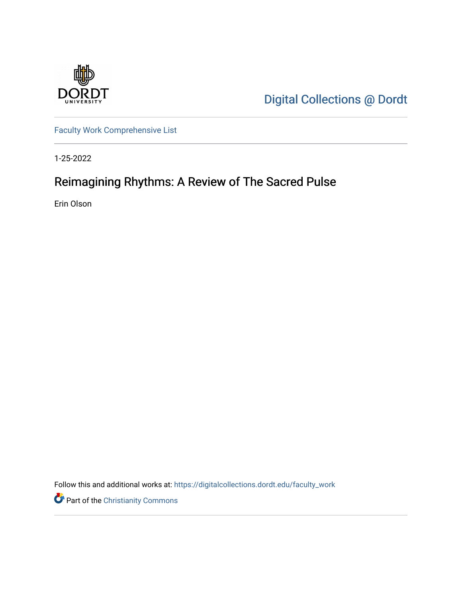

[Digital Collections @ Dordt](https://digitalcollections.dordt.edu/) 

[Faculty Work Comprehensive List](https://digitalcollections.dordt.edu/faculty_work)

1-25-2022

## Reimagining Rhythms: A Review of The Sacred Pulse

Erin Olson

Follow this and additional works at: [https://digitalcollections.dordt.edu/faculty\\_work](https://digitalcollections.dordt.edu/faculty_work?utm_source=digitalcollections.dordt.edu%2Ffaculty_work%2F1360&utm_medium=PDF&utm_campaign=PDFCoverPages) 

Part of the [Christianity Commons](http://network.bepress.com/hgg/discipline/1181?utm_source=digitalcollections.dordt.edu%2Ffaculty_work%2F1360&utm_medium=PDF&utm_campaign=PDFCoverPages)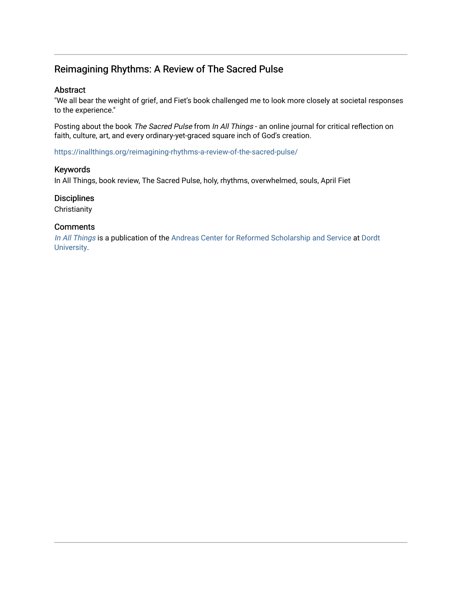### Reimagining Rhythms: A Review of The Sacred Pulse

#### Abstract

"We all bear the weight of grief, and Fiet's book challenged me to look more closely at societal responses to the experience."

Posting about the book The Sacred Pulse from In All Things - an online journal for critical reflection on faith, culture, art, and every ordinary-yet-graced square inch of God's creation.

<https://inallthings.org/reimagining-rhythms-a-review-of-the-sacred-pulse/>

#### Keywords

In All Things, book review, The Sacred Pulse, holy, rhythms, overwhelmed, souls, April Fiet

#### **Disciplines**

**Christianity** 

#### **Comments**

[In All Things](http://inallthings.org/) is a publication of the [Andreas Center for Reformed Scholarship and Service](http://www.dordt.edu/services_support/andreas_center/) at Dordt [University](http://www.dordt.edu/).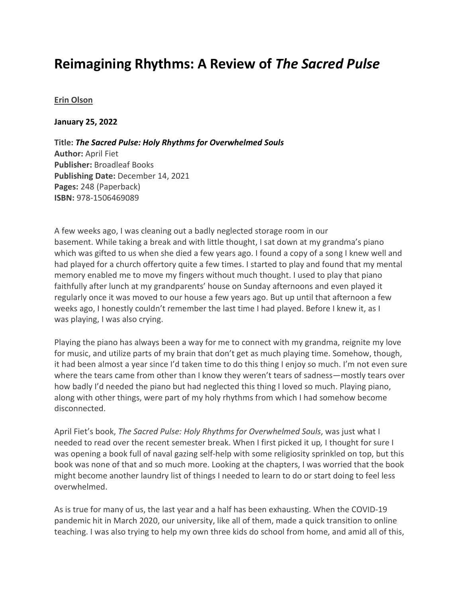# **Reimagining Rhythms: A Review of** *The Sacred Pulse*

#### **[Erin Olson](https://inallthings.org/author/erin-olson/)**

**January 25, 2022**

**Title:** *The Sacred Pulse: Holy Rhythms for Overwhelmed Souls* **Author:** April Fiet **Publisher:** Broadleaf Books **Publishing Date:** December 14, 2021 **Pages:** 248 (Paperback) **ISBN:** 978-1506469089

A few weeks ago, I was cleaning out a badly neglected storage room in our basement. While taking a break and with little thought, I sat down at my grandma's piano which was gifted to us when she died a few years ago. I found a copy of a song I knew well and had played for a church offertory quite a few times. I started to play and found that my mental memory enabled me to move my fingers without much thought. I used to play that piano faithfully after lunch at my grandparents' house on Sunday afternoons and even played it regularly once it was moved to our house a few years ago. But up until that afternoon a few weeks ago, I honestly couldn't remember the last time I had played. Before I knew it, as I was playing, I was also crying.

Playing the piano has always been a way for me to connect with my grandma, reignite my love for music, and utilize parts of my brain that don't get as much playing time. Somehow, though, it had been almost a year since I'd taken time to do this thing I enjoy so much. I'm not even sure where the tears came from other than I know they weren't tears of sadness—mostly tears over how badly I'd needed the piano but had neglected this thing I loved so much. Playing piano, along with other things, were part of my holy rhythms from which I had somehow become disconnected.

April Fiet's book, *The Sacred Pulse: Holy Rhythms for Overwhelmed Souls*, was just what I needed to read over the recent semester break. When I first picked it up*,* I thought for sure I was opening a book full of naval gazing self-help with some religiosity sprinkled on top, but this book was none of that and so much more. Looking at the chapters, I was worried that the book might become another laundry list of things I needed to learn to do or start doing to feel less overwhelmed.

As is true for many of us, the last year and a half has been exhausting. When the COVID-19 pandemic hit in March 2020, our university, like all of them, made a quick transition to online teaching. I was also trying to help my own three kids do school from home, and amid all of this,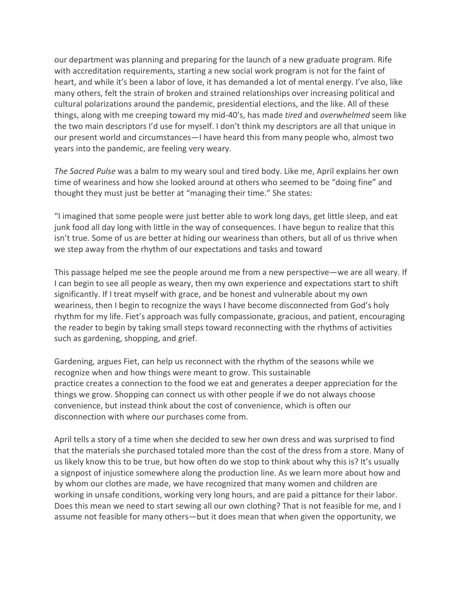our department was planning and preparing for the launch of a new graduate program. Rife with accreditation requirements, starting a new social work program is not for the faint of heart, and while it's been a labor of love, it has demanded a lot of mental energy. I've also, like many others, felt the strain of broken and strained relationships over increasing political and cultural polarizations around the pandemic, presidential elections, and the like. All of these things, along with me creeping toward my mid-40's, has made *tired* and *overwhelmed* seem like the two main descriptors I'd use for myself. I don't think my descriptors are all that unique in our present world and circumstances—I have heard this from many people who, almost two years into the pandemic, are feeling very weary.

*The Sacred Pulse* was a balm to my weary soul and tired body. Like me, April explains her own time of weariness and how she looked around at others who seemed to be "doing fine" and thought they must just be better at "managing their time." She states:

"I imagined that some people were just better able to work long days, get little sleep, and eat junk food all day long with little in the way of consequences. I have begun to realize that this isn't true. Some of us are better at hiding our weariness than others, but all of us thrive when we step away from the rhythm of our expectations and tasks and toward

This passage helped me see the people around me from a new perspective—we are all weary. If I can begin to see all people as weary, then my own experience and expectations start to shift significantly. If I treat myself with grace, and be honest and vulnerable about my own weariness, then I begin to recognize the ways I have become disconnected from God's holy rhythm for my life. Fiet's approach was fully compassionate, gracious, and patient, encouraging the reader to begin by taking small steps toward reconnecting with the rhythms of activities such as gardening, shopping, and grief.

Gardening, argues Fiet, can help us reconnect with the rhythm of the seasons while we recognize when and how things were meant to grow. This sustainable practice creates a connection to the food we eat and generates a deeper appreciation for the things we grow. Shopping can connect us with other people if we do not always choose convenience, but instead think about the cost of convenience, which is often our disconnection with where our purchases come from.

April tells a story of a time when she decided to sew her own dress and was surprised to find that the materials she purchased totaled more than the cost of the dress from a store. Many of us likely know this to be true, but how often do we stop to think about why this is? It's usually a signpost of injustice somewhere along the production line. As we learn more about how and by whom our clothes are made, we have recognized that many women and children are working in unsafe conditions, working very long hours, and are paid a pittance for their labor. Does this mean we need to start sewing all our own clothing? That is not feasible for me, and I assume not feasible for many others—but it does mean that when given the opportunity, we